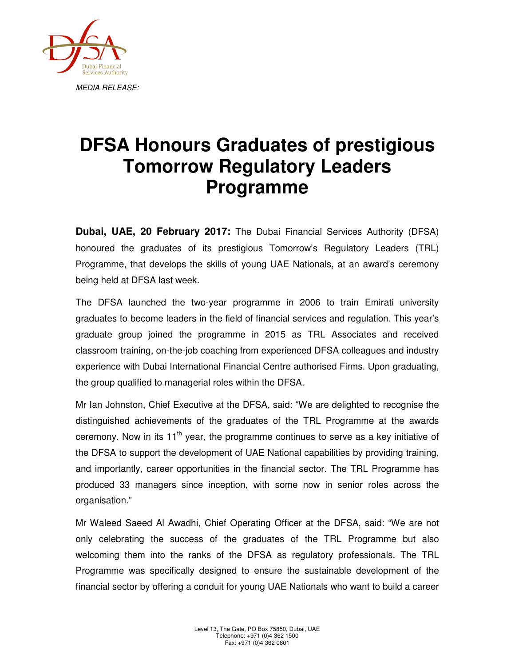

## **DFSA Honours Graduates of prestigious Tomorrow Regulatory Leaders Programme**

**Dubai, UAE, 20 February 2017:** The Dubai Financial Services Authority (DFSA) honoured the graduates of its prestigious Tomorrow's Regulatory Leaders (TRL) Programme, that develops the skills of young UAE Nationals, at an award's ceremony being held at DFSA last week.

The DFSA launched the two-year programme in 2006 to train Emirati university graduates to become leaders in the field of financial services and regulation. This year's graduate group joined the programme in 2015 as TRL Associates and received classroom training, on-the-job coaching from experienced DFSA colleagues and industry experience with Dubai International Financial Centre authorised Firms. Upon graduating, the group qualified to managerial roles within the DFSA.

Mr Ian Johnston, Chief Executive at the DFSA, said: "We are delighted to recognise the distinguished achievements of the graduates of the TRL Programme at the awards ceremony. Now in its  $11<sup>th</sup>$  year, the programme continues to serve as a key initiative of the DFSA to support the development of UAE National capabilities by providing training, and importantly, career opportunities in the financial sector. The TRL Programme has produced 33 managers since inception, with some now in senior roles across the organisation."

Mr Waleed Saeed Al Awadhi, Chief Operating Officer at the DFSA, said: "We are not only celebrating the success of the graduates of the TRL Programme but also welcoming them into the ranks of the DFSA as regulatory professionals. The TRL Programme was specifically designed to ensure the sustainable development of the financial sector by offering a conduit for young UAE Nationals who want to build a career